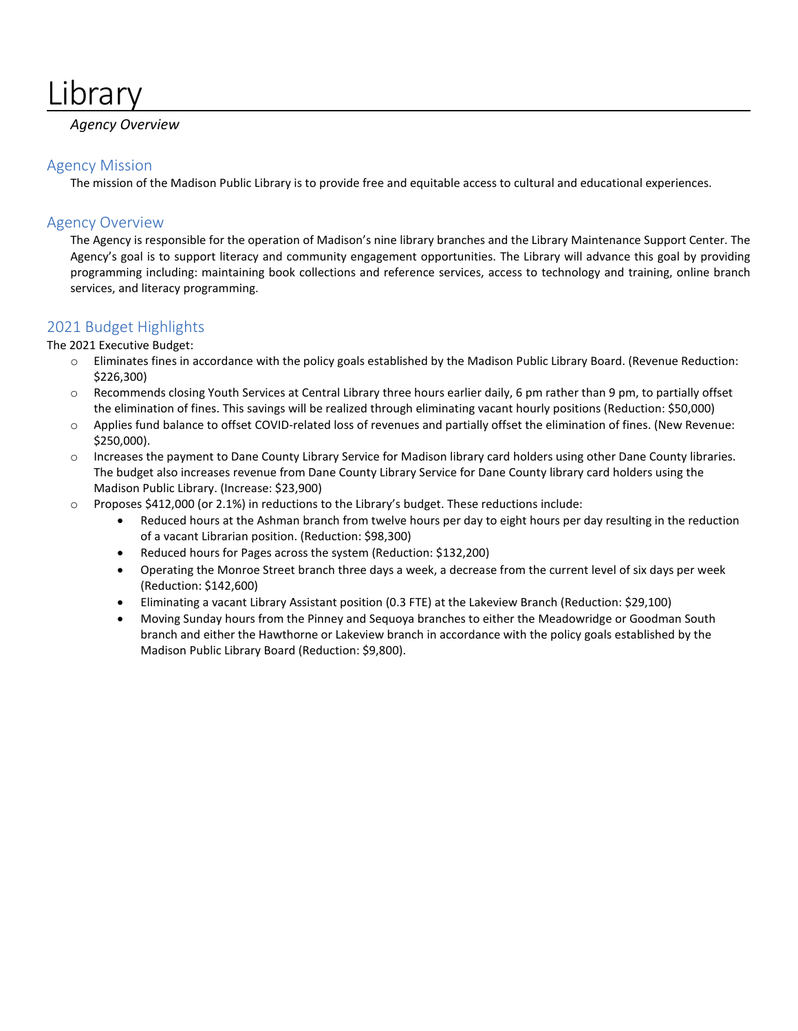# **Library**

## *Agency Overview*

## Agency Mission

The mission of the Madison Public Library is to provide free and equitable access to cultural and educational experiences.

## Agency Overview

The Agency is responsible for the operation of Madison's nine library branches and the Library Maintenance Support Center. The Agency's goal is to support literacy and community engagement opportunities. The Library will advance this goal by providing programming including: maintaining book collections and reference services, access to technology and training, online branch services, and literacy programming.

## 2021 Budget Highlights

The 2021 Executive Budget:

- o Eliminates fines in accordance with the policy goals established by the Madison Public Library Board. (Revenue Reduction: \$226,300)
- o Recommends closing Youth Services at Central Library three hours earlier daily, 6 pm rather than 9 pm, to partially offset the elimination of fines. This savings will be realized through eliminating vacant hourly positions (Reduction: \$50,000)
- o Applies fund balance to offset COVID-related loss of revenues and partially offset the elimination of fines. (New Revenue: \$250,000).
- o Increases the payment to Dane County Library Service for Madison library card holders using other Dane County libraries. The budget also increases revenue from Dane County Library Service for Dane County library card holders using the Madison Public Library. (Increase: \$23,900)
- o Proposes \$412,000 (or 2.1%) in reductions to the Library's budget. These reductions include:
	- Reduced hours at the Ashman branch from twelve hours per day to eight hours per day resulting in the reduction of a vacant Librarian position. (Reduction: \$98,300)
	- Reduced hours for Pages across the system (Reduction: \$132,200)
	- Operating the Monroe Street branch three days a week, a decrease from the current level of six days per week (Reduction: \$142,600)
	- Eliminating a vacant Library Assistant position (0.3 FTE) at the Lakeview Branch (Reduction: \$29,100)
	- Moving Sunday hours from the Pinney and Sequoya branches to either the Meadowridge or Goodman South branch and either the Hawthorne or Lakeview branch in accordance with the policy goals established by the Madison Public Library Board (Reduction: \$9,800).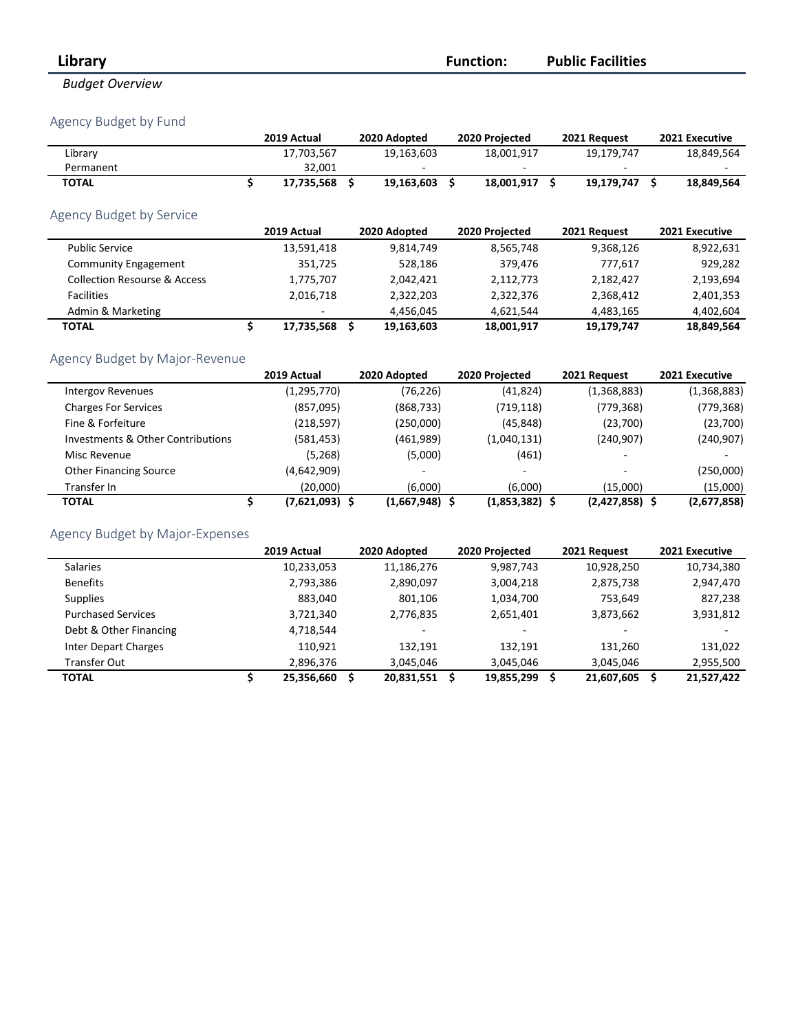## *Budget Overview*

## Agency Budget by Fund

|                                              | 2019 Actual            | 2020 Adopted     | 2020 Projected      | 2021 Request     | 2021 Executive |
|----------------------------------------------|------------------------|------------------|---------------------|------------------|----------------|
| Library                                      | 17,703,567             | 19,163,603       | 18,001,917          | 19,179,747       | 18,849,564     |
| Permanent                                    | 32,001                 |                  |                     |                  |                |
| <b>TOTAL</b>                                 | \$<br>17,735,568       | \$<br>19,163,603 | \$<br>18,001,917 \$ | 19,179,747 \$    | 18,849,564     |
| Agency Budget by Service                     |                        |                  |                     |                  |                |
|                                              | 2019 Actual            | 2020 Adopted     | 2020 Projected      | 2021 Request     | 2021 Executive |
| <b>Public Service</b>                        | 13,591,418             | 9,814,749        | 8,565,748           | 9,368,126        | 8,922,631      |
| <b>Community Engagement</b>                  | 351,725                | 528,186          | 379,476             | 777,617          | 929,282        |
| <b>Collection Resourse &amp; Access</b>      | 1,775,707              | 2,042,421        | 2,112,773           | 2,182,427        | 2,193,694      |
| <b>Facilities</b>                            | 2,016,718              | 2,322,203        | 2,322,376           | 2,368,412        | 2,401,353      |
| Admin & Marketing                            |                        | 4,456,045        | 4,621,544           | 4,483,165        | 4,402,604      |
| <b>TOTAL</b>                                 | \$<br>17,735,568       | \$<br>19,163,603 | 18,001,917          | 19,179,747       | 18,849,564     |
|                                              |                        |                  |                     |                  |                |
| Agency Budget by Major-Revenue               |                        |                  |                     |                  |                |
|                                              | 2019 Actual            | 2020 Adopted     | 2020 Projected      | 2021 Request     | 2021 Executive |
| <b>Intergov Revenues</b>                     | (1, 295, 770)          | (76, 226)        | (41, 824)           | (1,368,883)      | (1,368,883)    |
| <b>Charges For Services</b>                  | (857,095)              | (868, 733)       | (719, 118)          | (779, 368)       | (779, 368)     |
| Fine & Forfeiture                            | (218, 597)             | (250,000)        | (45, 848)           | (23,700)         | (23,700)       |
| <b>Investments &amp; Other Contributions</b> | (581, 453)             | (461,989)        | (1,040,131)         | (240, 907)       | (240, 907)     |
| Misc Revenue                                 | (5, 268)               | (5,000)          | (461)               |                  |                |
| Other Financing Source                       | (4,642,909)            |                  |                     |                  | (250,000)      |
| Transfer In                                  | (20,000)               | (6,000)          | (6,000)             | (15,000)         | (15,000)       |
| <b>TOTAL</b>                                 | \$<br>$(7,621,093)$ \$ | $(1,667,948)$ \$ | $(1,853,382)$ \$    | $(2,427,858)$ \$ | (2,677,858)    |
| Agency Budget by Major-Expenses              |                        |                  |                     |                  |                |
|                                              | 2019 Actual            | 2020 Adopted     | 2020 Projected      | 2021 Request     | 2021 Executive |
| <b>Salaries</b>                              | 10,233,053             | 11,186,276       | 9,987,743           | 10,928,250       | 10,734,380     |
| <b>Benefits</b>                              | 2,793,386              | 2,890,097        | 3,004,218           | 2,875,738        | 2,947,470      |
| <b>Supplies</b>                              | 883,040                | 801,106          | 1,034,700           | 753,649          | 827,238        |
| <b>Purchased Services</b>                    | 3,721,340              | 2,776,835        | 2,651,401           | 3,873,662        | 3,931,812      |
| Debt & Other Financing                       | 4,718,544              |                  |                     |                  |                |
| <b>Inter Depart Charges</b>                  | 110,921                | 132,191          | 132,191             | 131,260          | 131,022        |
| <b>Transfer Out</b>                          | 2,896,376              | 3,045,046        | 3,045,046           | 3,045,046        | 2,955,500      |

**TOTAL \$ 25,356,660 \$ 20,831,551 \$ 19,855,299 \$ 21,607,605 \$ 21,527,422**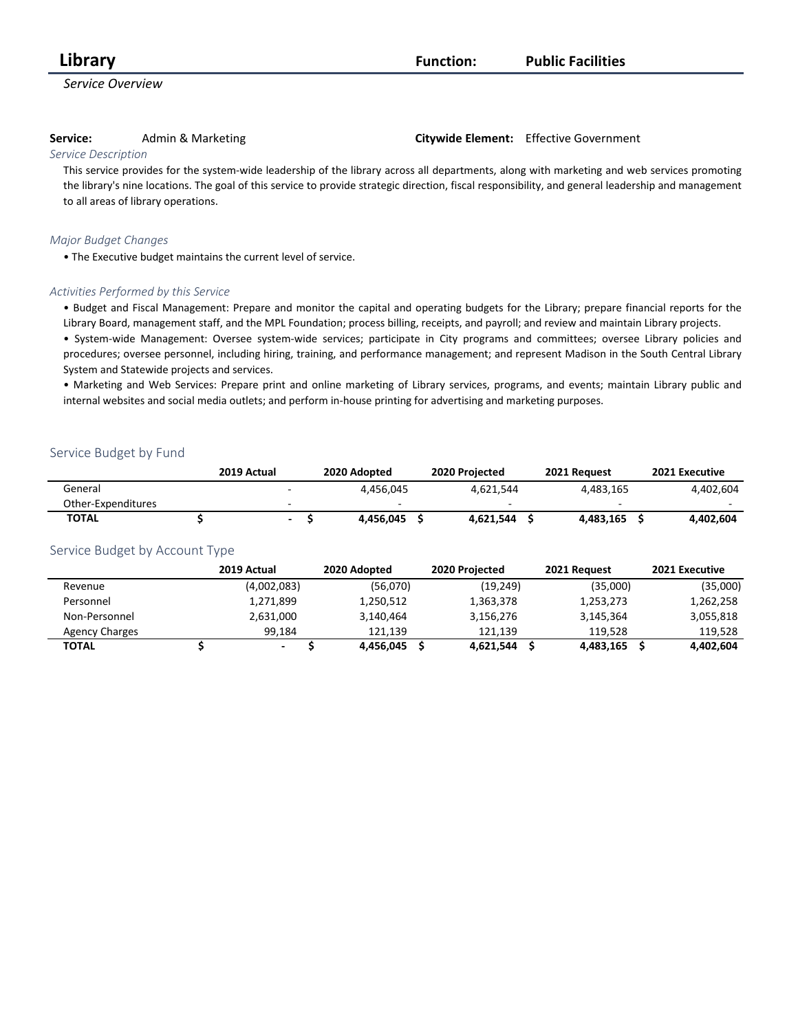*Service Overview*

**Service:** Admin & Marketing **Citywide Element:** Effective Government

#### *Service Description*

This service provides for the system-wide leadership of the library across all departments, along with marketing and web services promoting the library's nine locations. The goal of this service to provide strategic direction, fiscal responsibility, and general leadership and management to all areas of library operations.

#### *Major Budget Changes*

• The Executive budget maintains the current level of service.

#### *Activities Performed by this Service*

• Budget and Fiscal Management: Prepare and monitor the capital and operating budgets for the Library; prepare financial reports for the Library Board, management staff, and the MPL Foundation; process billing, receipts, and payroll; and review and maintain Library projects.

• System-wide Management: Oversee system-wide services; participate in City programs and committees; oversee Library policies and procedures; oversee personnel, including hiring, training, and performance management; and represent Madison in the South Central Library System and Statewide projects and services.

• Marketing and Web Services: Prepare print and online marketing of Library services, programs, and events; maintain Library public and internal websites and social media outlets; and perform in-house printing for advertising and marketing purposes.

#### Service Budget by Fund

|                    | 2019 Actual | 2020 Adopted | 2020 Projected | 2021 Request | 2021 Executive |
|--------------------|-------------|--------------|----------------|--------------|----------------|
| General            |             | 4.456.045    | 4.621.544      | 4.483.165    | 4.402.604      |
| Other-Expenditures |             |              |                |              | $\sim$         |
| <b>TOTAL</b>       |             | 4.456.045    | 4.621.544      | 4.483.165    | 4.402.604      |

|                       | 2019 Actual              | 2020 Adopted | 2020 Projected |           | 2021 Request | 2021 Executive |
|-----------------------|--------------------------|--------------|----------------|-----------|--------------|----------------|
| Revenue               | (4,002,083)              | (56,070)     |                | (19, 249) | (35,000)     | (35,000)       |
| Personnel             | 1,271,899                | 1,250,512    | 1,363,378      |           | 1,253,273    | 1,262,258      |
| Non-Personnel         | 2,631,000                | 3,140,464    | 3,156,276      |           | 3,145,364    | 3,055,818      |
| <b>Agency Charges</b> | 99.184                   | 121.139      | 121.139        |           | 119.528      | 119,528        |
| TOTAL                 | $\overline{\phantom{0}}$ | 4,456,045    | 4,621,544      |           | 4,483,165    | 4,402,604      |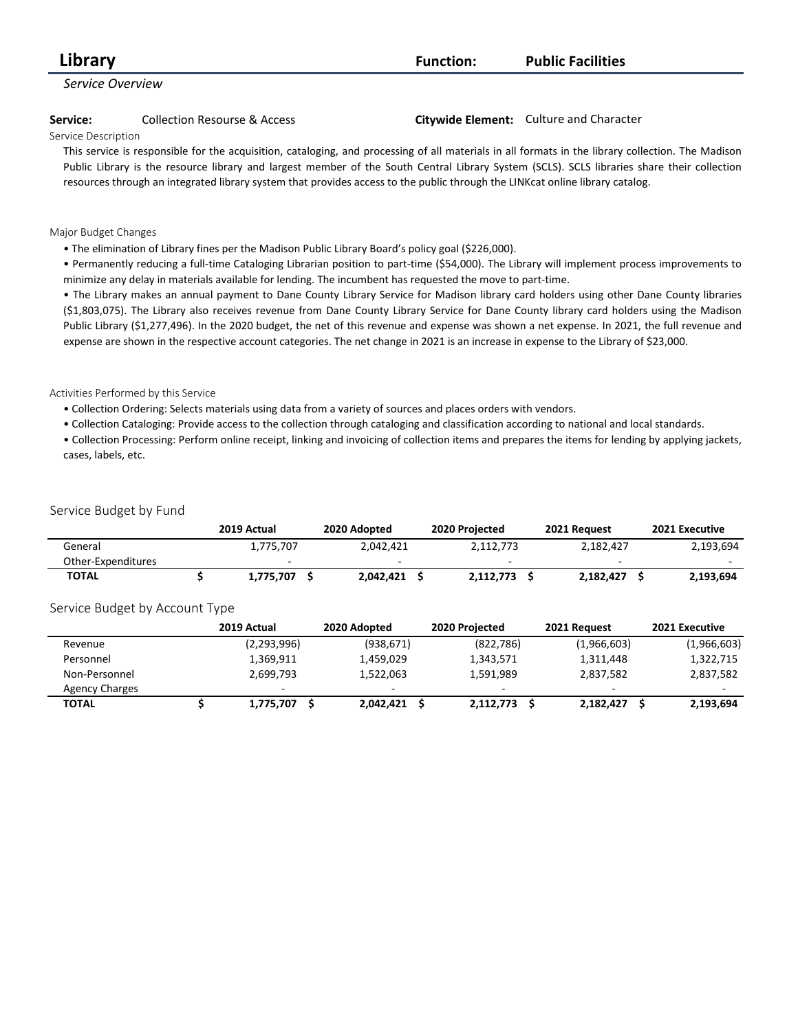| Library                 |                                                                                                                                                    | <b>Function:</b> | <b>Public Facilities</b>                |
|-------------------------|----------------------------------------------------------------------------------------------------------------------------------------------------|------------------|-----------------------------------------|
| <b>Service Overview</b> |                                                                                                                                                    |                  |                                         |
| Service:                | <b>Collection Resourse &amp; Access</b>                                                                                                            |                  | Citywide Element: Culture and Character |
| Service Description     |                                                                                                                                                    |                  |                                         |
|                         | This service is responsible for the acquisition, cataloging, and processing of all materials in all formats in the library collection. The Madison |                  |                                         |
|                         | Public Library is the resource library and largest member of the South Central Library System (SCLS). SCLS libraries share their collection        |                  |                                         |

resources through an integrated library system that provides access to the public through the LINKcat online library catalog.

#### Major Budget Changes

• The elimination of Library fines per the Madison Public Library Board's policy goal (\$226,000).

• Permanently reducing a full-time Cataloging Librarian position to part-time (\$54,000). The Library will implement process improvements to minimize any delay in materials available for lending. The incumbent has requested the move to part-time.

• The Library makes an annual payment to Dane County Library Service for Madison library card holders using other Dane County libraries (\$1,803,075). The Library also receives revenue from Dane County Library Service for Dane County library card holders using the Madison Public Library (\$1,277,496). In the 2020 budget, the net of this revenue and expense was shown a net expense. In 2021, the full revenue and expense are shown in the respective account categories. The net change in 2021 is an increase in expense to the Library of \$23,000.

#### Activities Performed by this Service

• Collection Ordering: Selects materials using data from a variety of sources and places orders with vendors.

• Collection Cataloging: Provide access to the collection through cataloging and classification according to national and local standards.

• Collection Processing: Perform online receipt, linking and invoicing of collection items and prepares the items for lending by applying jackets, cases, labels, etc.

#### Service Budget by Fund

|                    | 2019 Actual | 2020 Adopted | 2020 Projected |                          | 2021 Request | 2021 Executive |
|--------------------|-------------|--------------|----------------|--------------------------|--------------|----------------|
| General            | 1.775.707   | 2.042.421    |                | 2.112.773                | 2.182.427    | 2,193,694      |
| Other-Expenditures |             |              |                | $\overline{\phantom{a}}$ | $\sim$       | -              |
| <b>TOTAL</b>       | 1.775.707   | 2.042.421    |                | 2.112.773                | 2.182.427    | 2,193,694      |

|                       | 2019 Actual              | 2020 Adopted |            | 2020 Projected | 2021 Request | 2021 Executive |
|-----------------------|--------------------------|--------------|------------|----------------|--------------|----------------|
| Revenue               | (2,293,996)              |              | (938, 671) | (822, 786)     | (1,966,603)  | (1,966,603)    |
| Personnel             | 1,369,911                |              | 1,459,029  | 1,343,571      | 1,311,448    | 1,322,715      |
| Non-Personnel         | 2.699.793                |              | 1,522,063  | 1,591,989      | 2,837,582    | 2,837,582      |
| <b>Agency Charges</b> | $\overline{\phantom{0}}$ |              |            |                |              |                |
| TOTAL                 | 1,775,707                |              | 2,042,421  | 2,112,773      | 2,182,427    | 2,193,694      |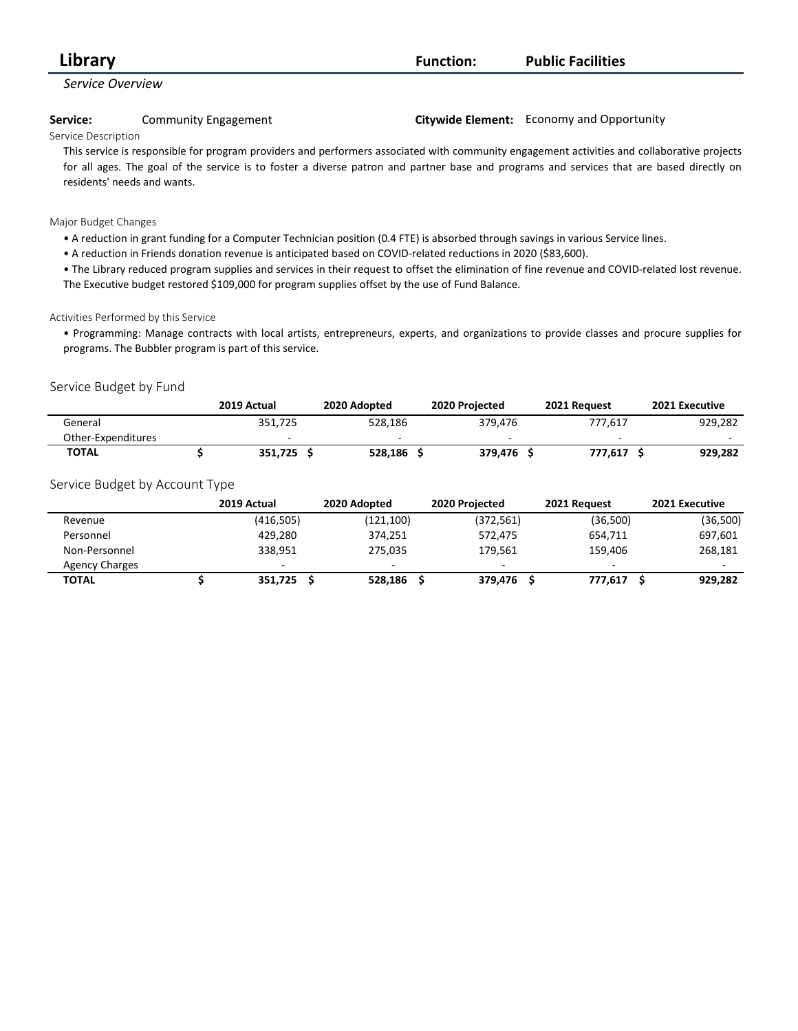| Library             |                                                                                                                                               | <b>Function:</b> | <b>Public Facilities</b>                  |  |  |
|---------------------|-----------------------------------------------------------------------------------------------------------------------------------------------|------------------|-------------------------------------------|--|--|
| Service Overview    |                                                                                                                                               |                  |                                           |  |  |
| Service:            | Community Engagement                                                                                                                          |                  | Citywide Element: Economy and Opportunity |  |  |
| Service Description |                                                                                                                                               |                  |                                           |  |  |
|                     | This service is responsible for program providers and performers associated with community engagement activities and collaborative projection |                  |                                           |  |  |

responsible for program providers and performers associated with community engagement activities and collaborative projects for all ages. The goal of the service is to foster a diverse patron and partner base and programs and services that are based directly on residents' needs and wants.

#### Major Budget Changes

- A reduction in grant funding for a Computer Technician position (0.4 FTE) is absorbed through savings in various Service lines.
- A reduction in Friends donation revenue is anticipated based on COVID-related reductions in 2020 (\$83,600).

• The Library reduced program supplies and services in their request to offset the elimination of fine revenue and COVID-related lost revenue. The Executive budget restored \$109,000 for program supplies offset by the use of Fund Balance.

#### Activities Performed by this Service

• Programming: Manage contracts with local artists, entrepreneurs, experts, and organizations to provide classes and procure supplies for programs. The Bubbler program is part of this service.

#### Service Budget by Fund

|                    | 2019 Actual | 2020 Adopted | 2020 Projected | 2021 Request | 2021 Executive |
|--------------------|-------------|--------------|----------------|--------------|----------------|
| General            | 351.725     | 528.186      | 379.476        | 777.617      | 929.282        |
| Other-Expenditures |             |              |                | $\sim$       |                |
| <b>TOTAL</b>       | 351.725     | 528.186      | 379.476        | 777.617      | 929,282        |

|                       | 2019 Actual | 2020 Adopted | 2020 Projected | 2021 Request | 2021 Executive |
|-----------------------|-------------|--------------|----------------|--------------|----------------|
| Revenue               | (416, 505)  | (121, 100)   | (372, 561)     | (36,500)     | (36,500)       |
| Personnel             | 429.280     | 374.251      | 572,475        | 654.711      | 697,601        |
| Non-Personnel         | 338.951     | 275,035      | 179.561        | 159.406      | 268,181        |
| <b>Agency Charges</b> | -           | $\sim$       |                | -            | $\sim$         |
| TOTAL                 | 351.725     | 528,186      | 379,476        | 777.617      | 929,282        |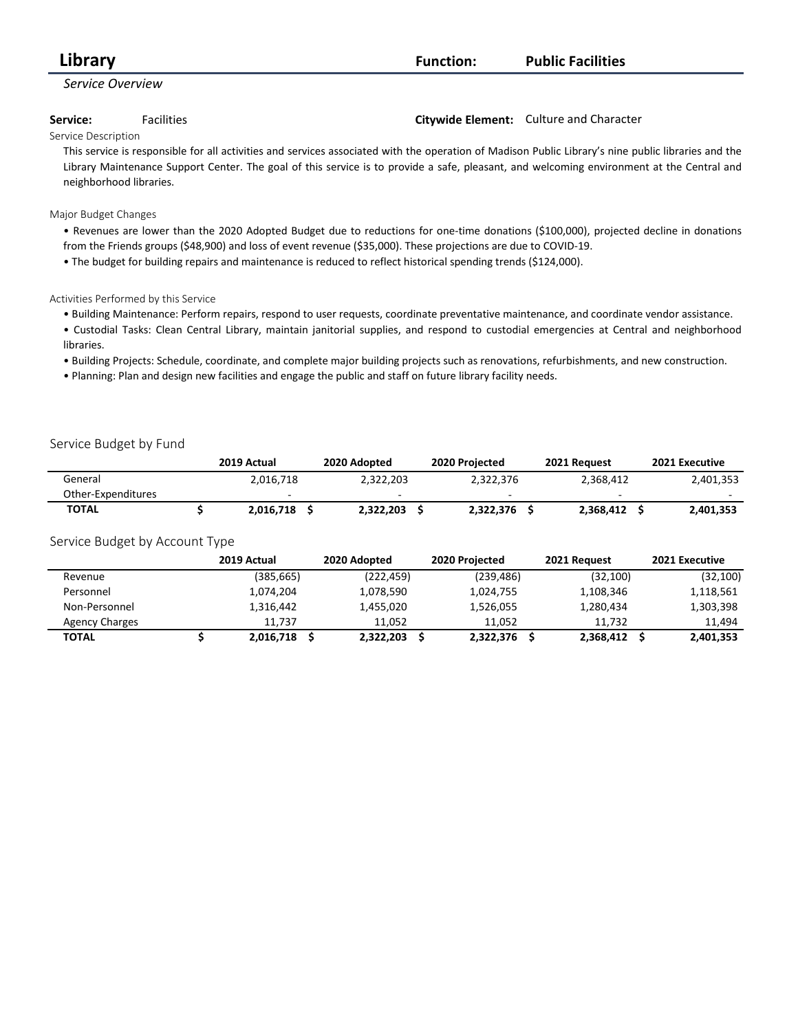| Library          | <b>Function:</b> | <b>Public Facilities</b> |
|------------------|------------------|--------------------------|
| Service Overview |                  |                          |

#### **Service:** Facilities **Citywide Element:** Culture and Character

#### Service Description

This service is responsible for all activities and services associated with the operation of Madison Public Library's nine public libraries and the Library Maintenance Support Center. The goal of this service is to provide a safe, pleasant, and welcoming environment at the Central and neighborhood libraries.

#### Major Budget Changes

- Revenues are lower than the 2020 Adopted Budget due to reductions for one-time donations (\$100,000), projected decline in donations from the Friends groups (\$48,900) and loss of event revenue (\$35,000). These projections are due to COVID-19.
- The budget for building repairs and maintenance is reduced to reflect historical spending trends (\$124,000).

#### Activities Performed by this Service

- Building Maintenance: Perform repairs, respond to user requests, coordinate preventative maintenance, and coordinate vendor assistance.
- Custodial Tasks: Clean Central Library, maintain janitorial supplies, and respond to custodial emergencies at Central and neighborhood libraries.
- Building Projects: Schedule, coordinate, and complete major building projects such as renovations, refurbishments, and new construction.
- Planning: Plan and design new facilities and engage the public and staff on future library facility needs.

#### Service Budget by Fund

|                    | 2019 Actual | 2020 Adopted | 2020 Projected | 2021 Request |                          | 2021 Executive |
|--------------------|-------------|--------------|----------------|--------------|--------------------------|----------------|
| General            | 2.016.718   | 2.322.203    | 2.322.376      | 2.368.412    |                          | 2,401,353      |
| Other-Expenditures |             |              |                |              | $\overline{\phantom{a}}$ |                |
| <b>TOTAL</b>       | 2.016.718   | 2,322,203    | 2.322.376      | 2.368.412    |                          | 2,401,353      |

|                       | 2019 Actual | 2020 Adopted | 2020 Projected | 2021 Request | 2021 Executive |
|-----------------------|-------------|--------------|----------------|--------------|----------------|
| Revenue               | (385,665)   | (222, 459)   | (239, 486)     | (32, 100)    | (32, 100)      |
| Personnel             | 1,074,204   | 1,078,590    | 1,024,755      | 1,108,346    | 1,118,561      |
| Non-Personnel         | 1,316,442   | 1,455,020    | 1,526,055      | 1,280,434    | 1,303,398      |
| <b>Agency Charges</b> | 11.737      | 11.052       | 11.052         | 11.732       | 11,494         |
| <b>TOTAL</b>          | 2,016,718   | 2,322,203    | 2,322,376      | 2,368,412 \$ | 2,401,353      |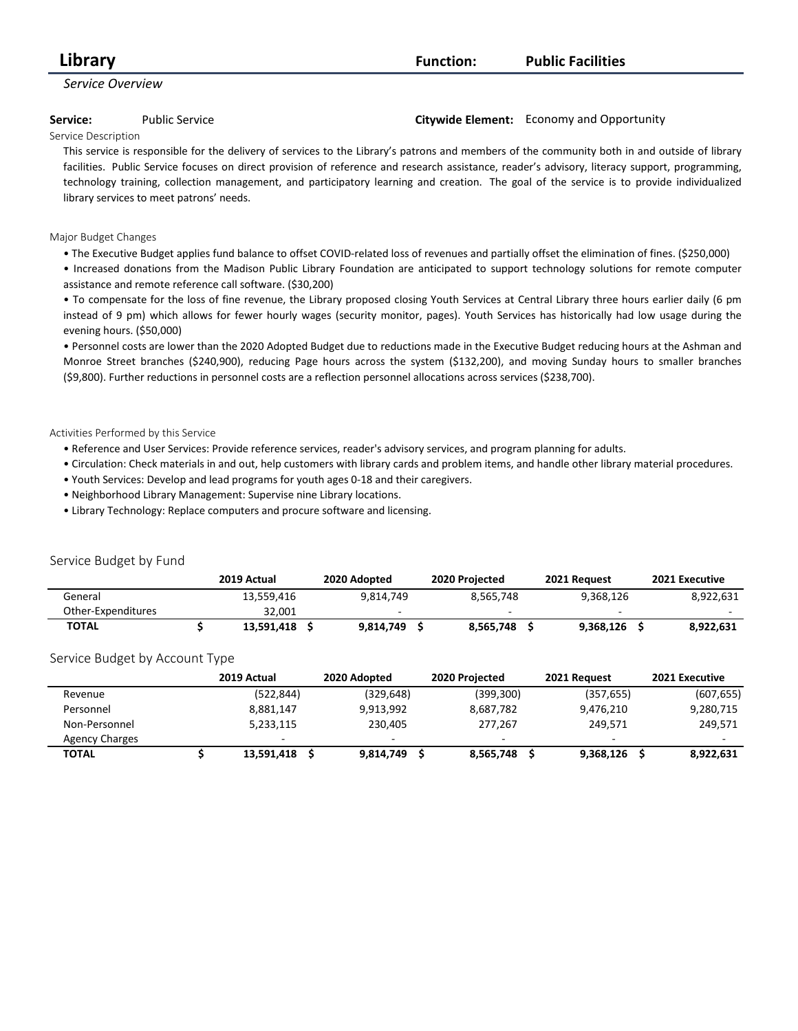| Library          | <b>Function:</b> | <b>Public Facilities</b> |
|------------------|------------------|--------------------------|
| Service Overview |                  |                          |

#### **Service:** Public Service **Citywide Element:** Economy and Opportunity

Service Description

This service is responsible for the delivery of services to the Library's patrons and members of the community both in and outside of library facilities. Public Service focuses on direct provision of reference and research assistance, reader's advisory, literacy support, programming, technology training, collection management, and participatory learning and creation. The goal of the service is to provide individualized library services to meet patrons' needs.

#### Major Budget Changes

• The Executive Budget applies fund balance to offset COVID-related loss of revenues and partially offset the elimination of fines. (\$250,000)

• Increased donations from the Madison Public Library Foundation are anticipated to support technology solutions for remote computer assistance and remote reference call software. (\$30,200)

• To compensate for the loss of fine revenue, the Library proposed closing Youth Services at Central Library three hours earlier daily (6 pm instead of 9 pm) which allows for fewer hourly wages (security monitor, pages). Youth Services has historically had low usage during the evening hours. (\$50,000)

• Personnel costs are lower than the 2020 Adopted Budget due to reductions made in the Executive Budget reducing hours at the Ashman and Monroe Street branches (\$240,900), reducing Page hours across the system (\$132,200), and moving Sunday hours to smaller branches (\$9,800). Further reductions in personnel costs are a reflection personnel allocations across services (\$238,700).

#### Activities Performed by this Service

- Reference and User Services: Provide reference services, reader's advisory services, and program planning for adults.
- Circulation: Check materials in and out, help customers with library cards and problem items, and handle other library material procedures.
- Youth Services: Develop and lead programs for youth ages 0-18 and their caregivers.
- Neighborhood Library Management: Supervise nine Library locations.
- Library Technology: Replace computers and procure software and licensing.

|                                |   | 2019 Actual     | 2020 Adopted   |   | 2020 Projected | 2021 Request |     | 2021 Executive |
|--------------------------------|---|-----------------|----------------|---|----------------|--------------|-----|----------------|
| General                        |   | 13,559,416      | 9,814,749      |   | 8,565,748      | 9,368,126    |     | 8,922,631      |
| Other-Expenditures             |   | 32,001          |                |   |                |              |     |                |
| <b>TOTAL</b>                   | S | 13,591,418<br>S | 9,814,749      | S | 8,565,748 \$   | 9,368,126    | - S | 8,922,631      |
| Service Budget by Account Type |   |                 |                |   |                |              |     |                |
|                                |   | 2019 Actual     | 2020 Adopted   |   | 2020 Projected | 2021 Request |     | 2021 Executive |
| Revenue                        |   | (522, 844)      | (329,648)      |   | (399,300)      | (357, 655)   |     | (607, 655)     |
| Personnel                      |   | 8,881,147       | 9,913,992      |   | 8,687,782      | 9,476,210    |     | 9,280,715      |
| Non-Personnel                  |   | 5,233,115       | 230,405        |   | 277,267        | 249,571      |     | 249,571        |
| <b>Agency Charges</b>          |   |                 |                |   |                |              |     |                |
| <b>TOTAL</b>                   |   | 13,591,418      | Ś<br>9,814,749 |   | 8,565,748      | 9,368,126    |     | 8,922,631      |

#### Service Budget by Fund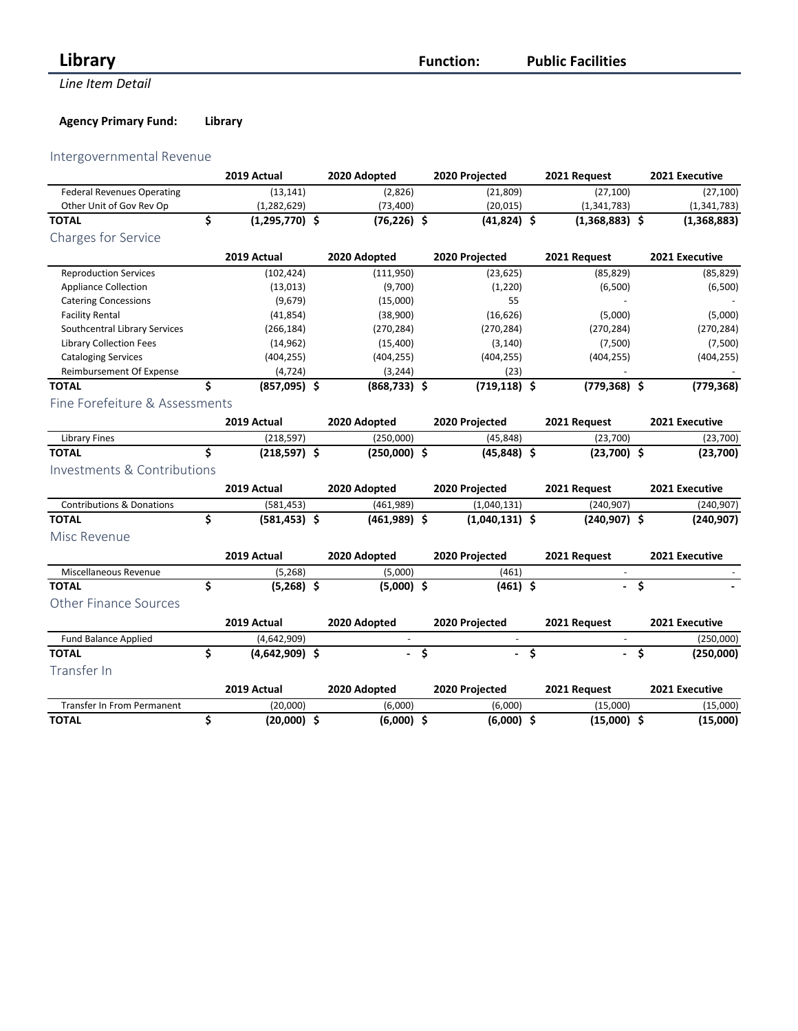## *Eibrary* **Function:**

**Line Item Detail** 

**Public Facilities**

## **Agency Primary Fund: Library**

## Intergovernmental Revenue

|                                      | 2019 Actual            | 2020 Adopted   | 2020 Projected   |    | 2021 Request             |                    | 2021 Executive |
|--------------------------------------|------------------------|----------------|------------------|----|--------------------------|--------------------|----------------|
| <b>Federal Revenues Operating</b>    | (13, 141)              | (2,826)        | (21, 809)        |    | (27, 100)                |                    | (27, 100)      |
| Other Unit of Gov Rev Op             | (1, 282, 629)          | (73, 400)      | (20, 015)        |    | (1,341,783)              |                    | (1,341,783)    |
| <b>TOTAL</b>                         | \$<br>$(1,295,770)$ \$ | $(76, 226)$ \$ | $(41,824)$ \$    |    | $(1,368,883)$ \$         |                    | (1,368,883)    |
| <b>Charges for Service</b>           |                        |                |                  |    |                          |                    |                |
|                                      | 2019 Actual            | 2020 Adopted   | 2020 Projected   |    | 2021 Request             |                    | 2021 Executive |
| <b>Reproduction Services</b>         | (102, 424)             | (111,950)      | (23, 625)        |    | (85, 829)                |                    | (85, 829)      |
| <b>Appliance Collection</b>          | (13, 013)              | (9,700)        | (1, 220)         |    | (6,500)                  |                    | (6,500)        |
| <b>Catering Concessions</b>          | (9,679)                | (15,000)       | 55               |    |                          |                    |                |
| <b>Facility Rental</b>               | (41, 854)              | (38,900)       | (16, 626)        |    | (5,000)                  |                    | (5,000)        |
| Southcentral Library Services        | (266, 184)             | (270, 284)     | (270, 284)       |    | (270, 284)               |                    | (270, 284)     |
| <b>Library Collection Fees</b>       | (14, 962)              | (15, 400)      | (3, 140)         |    | (7,500)                  |                    | (7,500)        |
| <b>Cataloging Services</b>           | (404, 255)             | (404, 255)     | (404, 255)       |    | (404, 255)               |                    | (404, 255)     |
| Reimbursement Of Expense             | (4, 724)               | (3, 244)       | (23)             |    |                          |                    |                |
| <b>TOTAL</b>                         | \$<br>$(857,095)$ \$   | $(868,733)$ \$ | $(719, 118)$ \$  |    | $(779, 368)$ \$          |                    | (779, 368)     |
| Fine Forefeiture & Assessments       |                        |                |                  |    |                          |                    |                |
|                                      | 2019 Actual            | 2020 Adopted   | 2020 Projected   |    | 2021 Request             |                    | 2021 Executive |
| <b>Library Fines</b>                 | (218, 597)             | (250,000)      | (45, 848)        |    | (23,700)                 |                    | (23,700)       |
| <b>TOTAL</b>                         | \$<br>$(218,597)$ \$   | $(250,000)$ \$ | $(45,848)$ \$    |    | $(23,700)$ \$            |                    | (23,700)       |
| Investments & Contributions          |                        |                |                  |    |                          |                    |                |
|                                      | 2019 Actual            | 2020 Adopted   | 2020 Projected   |    | 2021 Request             |                    | 2021 Executive |
| <b>Contributions &amp; Donations</b> | (581, 453)             | (461,989)      | (1,040,131)      |    | (240, 907)               |                    | (240, 907)     |
| <b>TOTAL</b>                         | \$<br>$(581, 453)$ \$  | $(461,989)$ \$ | $(1,040,131)$ \$ |    | $(240, 907)$ \$          |                    | (240, 907)     |
| Misc Revenue                         |                        |                |                  |    |                          |                    |                |
|                                      | 2019 Actual            | 2020 Adopted   | 2020 Projected   |    | 2021 Request             |                    | 2021 Executive |
| Miscellaneous Revenue                | (5, 268)               | (5,000)        | (461)            |    |                          |                    |                |
| <b>TOTAL</b>                         | \$<br>$(5,268)$ \$     | $(5,000)$ \$   | $(461)$ \$       |    | $\overline{a}$           | $\overline{\cdot}$ |                |
| <b>Other Finance Sources</b>         |                        |                |                  |    |                          |                    |                |
|                                      | 2019 Actual            | 2020 Adopted   | 2020 Projected   |    | 2021 Request             |                    | 2021 Executive |
| Fund Balance Applied                 | (4,642,909)            |                | $\omega$         |    |                          |                    | (250,000)      |
| <b>TOTAL</b>                         | \$<br>$(4,642,909)$ \$ |                | \$               | Ś. | $\overline{\phantom{a}}$ | \$                 | (250,000)      |
| Transfer In                          |                        |                |                  |    |                          |                    |                |
|                                      | 2019 Actual            | 2020 Adopted   | 2020 Projected   |    | 2021 Request             |                    | 2021 Executive |
| Transfer In From Permanent           | (20,000)               | (6,000)        | (6,000)          |    | (15,000)                 |                    | (15,000)       |
| <b>TOTAL</b>                         | \$<br>$(20,000)$ \$    | $(6,000)$ \$   | $(6,000)$ \$     |    | $(15,000)$ \$            |                    | (15,000)       |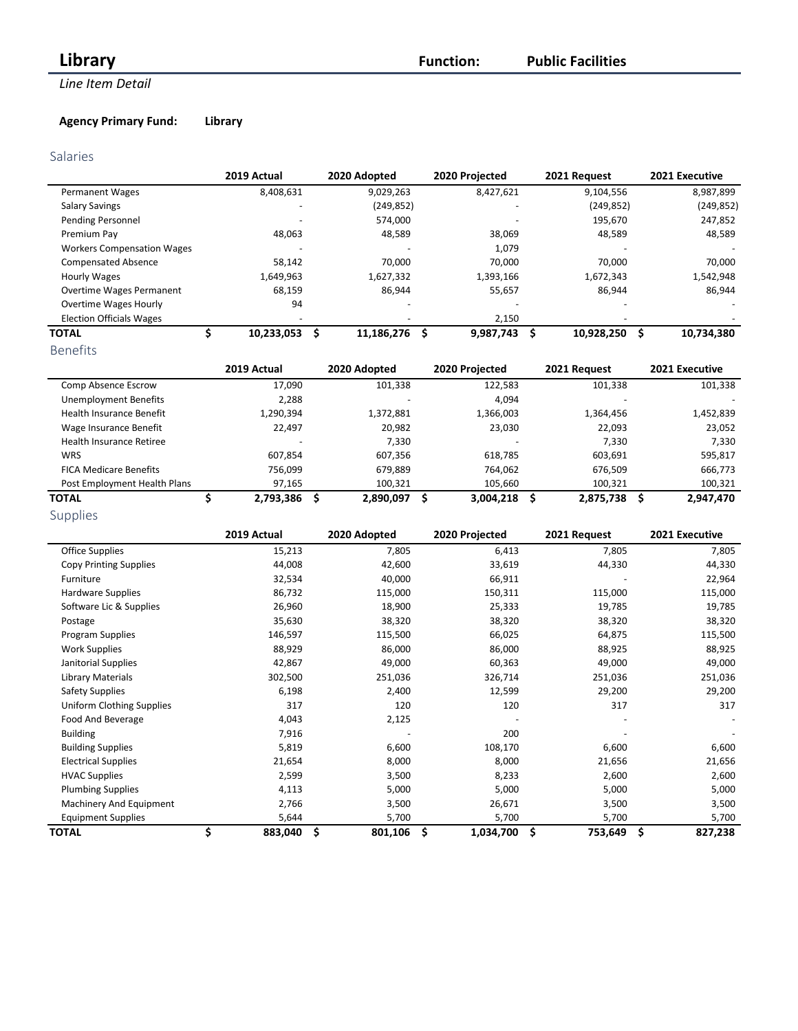## *Library Function:* **Function:**

## **Line Item Detail**

## **Agency Primary Fund: Library**

### Salaries

|                                   | 2019 Actual | 2020 Adopted | 2020 Projected | 2021 Request    | 2021 Executive  |
|-----------------------------------|-------------|--------------|----------------|-----------------|-----------------|
| <b>Permanent Wages</b>            | 8,408,631   | 9,029,263    | 8,427,621      | 9,104,556       | 8,987,899       |
| <b>Salary Savings</b>             |             | (249, 852)   |                | (249, 852)      | (249, 852)      |
| Pending Personnel                 |             | 574.000      |                | 195,670         | 247,852         |
| Premium Pay                       | 48,063      | 48,589       | 38,069         | 48,589          | 48,589          |
| <b>Workers Compensation Wages</b> |             |              | 1,079          |                 |                 |
| <b>Compensated Absence</b>        | 58.142      | 70.000       | 70,000         | 70.000          | 70,000          |
| Hourly Wages                      | 1,649,963   | 1,627,332    | 1,393,166      | 1,672,343       | 1,542,948       |
| <b>Overtime Wages Permanent</b>   | 68,159      | 86,944       | 55,657         | 86,944          | 86,944          |
| <b>Overtime Wages Hourly</b>      | 94          |              |                |                 |                 |
| <b>Election Officials Wages</b>   |             |              | 2,150          |                 |                 |
| <b>TOTAL</b>                      | 10,233,053  | 11,186,276   | 9,987,743      | 10,928,250<br>S | 10,734,380<br>s |
| <b>Benefits</b>                   |             |              |                |                 |                 |

|                                 | 2019 Actual              | 2020 Adopted | 2020 Projected | 2021 Request   | 2021 Executive |
|---------------------------------|--------------------------|--------------|----------------|----------------|----------------|
| Comp Absence Escrow             | 17,090                   | 101,338      | 122,583        | 101,338        | 101,338        |
| <b>Unemployment Benefits</b>    | 2.288                    |              | 4,094          |                |                |
| <b>Health Insurance Benefit</b> | 1,290,394                | 1,372,881    | 1,366,003      | 1,364,456      | 1,452,839      |
| Wage Insurance Benefit          | 22,497                   | 20,982       | 23,030         | 22,093         | 23,052         |
| Health Insurance Retiree        | $\overline{\phantom{a}}$ | 7,330        |                | 7,330          | 7,330          |
| <b>WRS</b>                      | 607,854                  | 607,356      | 618,785        | 603,691        | 595,817        |
| <b>FICA Medicare Benefits</b>   | 756,099                  | 679.889      | 764,062        | 676,509        | 666,773        |
| Post Employment Health Plans    | 97,165                   | 100,321      | 105.660        | 100,321        | 100,321        |
| <b>TOTAL</b>                    | 2,793,386                | 2,890,097    | 3,004,218      | 2,875,738<br>S | 2,947,470<br>S |
| Supplies                        |                          |              |                |                |                |

|                               | 2019 Actual   | 2020 Adopted  | 2020 Projected   | 2021 Request | 2021 Executive |
|-------------------------------|---------------|---------------|------------------|--------------|----------------|
| Office Supplies               | 15,213        | 7,805         | 6,413            | 7,805        | 7,805          |
| <b>Copy Printing Supplies</b> | 44,008        | 42,600        | 33,619           | 44,330       | 44,330         |
| Furniture                     | 32,534        | 40,000        | 66,911           |              | 22,964         |
| Hardware Supplies             | 86,732        | 115,000       | 150,311          | 115,000      | 115,000        |
| Software Lic & Supplies       | 26,960        | 18,900        | 25,333           | 19,785       | 19,785         |
| Postage                       | 35,630        | 38,320        | 38,320           | 38,320       | 38,320         |
| Program Supplies              | 146,597       | 115,500       | 66,025           | 64,875       | 115,500        |
| <b>Work Supplies</b>          | 88,929        | 86,000        | 86,000           | 88,925       | 88,925         |
| Janitorial Supplies           | 42,867        | 49,000        | 60,363           | 49,000       | 49,000         |
| Library Materials             | 302,500       | 251,036       | 326,714          | 251,036      | 251,036        |
| <b>Safety Supplies</b>        | 6,198         | 2,400         | 12,599           | 29,200       | 29,200         |
| Uniform Clothing Supplies     | 317           | 120           | 120              | 317          | 317            |
| Food And Beverage             | 4,043         | 2,125         |                  |              |                |
| <b>Building</b>               | 7,916         |               | 200              |              |                |
| <b>Building Supplies</b>      | 5,819         | 6,600         | 108,170          | 6,600        | 6,600          |
| <b>Electrical Supplies</b>    | 21,654        | 8,000         | 8,000            | 21,656       | 21,656         |
| <b>HVAC Supplies</b>          | 2,599         | 3,500         | 8,233            | 2,600        | 2,600          |
| <b>Plumbing Supplies</b>      | 4,113         | 5,000         | 5,000            | 5,000        | 5,000          |
| Machinery And Equipment       | 2,766         | 3,500         | 26,671           | 3,500        | 3,500          |
| <b>Equipment Supplies</b>     | 5,644         | 5,700         | 5,700            | 5,700        | 5,700          |
| <b>TOTAL</b>                  | \$<br>883,040 | \$<br>801,106 | \$.<br>1,034,700 | Ś<br>753,649 | \$<br>827,238  |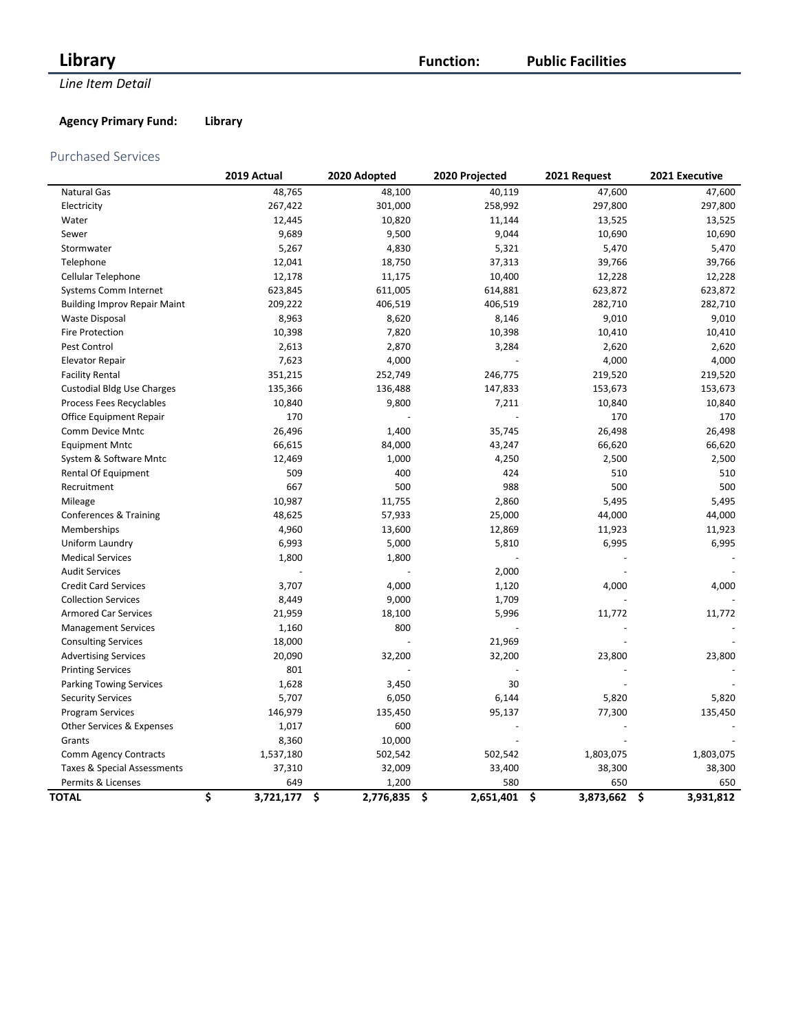## **Library Function:**

## **Line Item Detail**

## **Public Facilities**

## **Agency Primary Fund: Library**

### Purchased Services

| <b>Natural Gas</b><br>48,765<br>48,100<br>40,119<br>47,600<br>258,992<br>267,422<br>301,000<br>297,800<br>Electricity<br>Water<br>12,445<br>10,820<br>11,144<br>13,525<br>9,689<br>9,500<br>9,044<br>10,690<br>Sewer<br>5,267<br>4,830<br>5,321<br>5,470<br>Stormwater<br>Telephone<br>12,041<br>18,750<br>37,313<br>39,766<br>12,178<br>10,400<br>Cellular Telephone<br>11,175<br>12,228<br>623,845<br>611,005<br>614,881<br>Systems Comm Internet<br>623,872<br>209,222<br>406,519<br>282,710<br><b>Building Improv Repair Maint</b><br>406,519<br>8,963<br>9,010<br>Waste Disposal<br>8,620<br>8,146<br>Fire Protection<br>10,398<br>7,820<br>10,398<br>10,410<br>Pest Control<br>2,613<br>2,870<br>3,284<br>2,620<br><b>Elevator Repair</b><br>7,623<br>4,000<br>4,000<br>351,215<br>246,775<br><b>Facility Rental</b><br>252,749<br>219,520<br>135,366<br><b>Custodial Bldg Use Charges</b><br>136,488<br>147,833<br>153,673<br>Process Fees Recyclables<br>10,840<br>9,800<br>7,211<br>10,840<br>170<br>170<br>Office Equipment Repair<br>26,496<br>1,400<br>35,745<br>26,498<br>Comm Device Mntc<br>66,615<br>84,000<br>43,247<br>66,620<br><b>Equipment Mntc</b><br>12,469<br>1,000<br>4,250<br>2,500<br>System & Software Mntc<br>509<br>400<br>424<br>510<br>Rental Of Equipment<br>667<br>500<br>988<br>500<br>Recruitment<br>10,987<br>11,755<br>2,860<br>5,495<br>Mileage<br>57,933<br>25,000<br>Conferences & Training<br>48,625<br>44,000<br>Memberships<br>4,960<br>13,600<br>12,869<br>11,923<br>6,993<br>5,000<br>5,810<br>6,995<br>Uniform Laundry<br><b>Medical Services</b><br>1,800<br>1,800<br><b>Audit Services</b><br>2,000<br>3,707<br>4,000<br>4,000<br><b>Credit Card Services</b><br>1,120<br><b>Collection Services</b><br>8,449<br>9,000<br>1,709<br>5,996<br><b>Armored Car Services</b><br>21,959<br>18,100<br>11,772<br>1,160<br>800<br><b>Management Services</b><br>18,000<br>21,969<br><b>Consulting Services</b><br>20,090<br>32,200<br>32,200<br>23,800<br><b>Advertising Services</b> |           |
|-------------------------------------------------------------------------------------------------------------------------------------------------------------------------------------------------------------------------------------------------------------------------------------------------------------------------------------------------------------------------------------------------------------------------------------------------------------------------------------------------------------------------------------------------------------------------------------------------------------------------------------------------------------------------------------------------------------------------------------------------------------------------------------------------------------------------------------------------------------------------------------------------------------------------------------------------------------------------------------------------------------------------------------------------------------------------------------------------------------------------------------------------------------------------------------------------------------------------------------------------------------------------------------------------------------------------------------------------------------------------------------------------------------------------------------------------------------------------------------------------------------------------------------------------------------------------------------------------------------------------------------------------------------------------------------------------------------------------------------------------------------------------------------------------------------------------------------------------------------------------------------------------------------------------------------------------------------------------------------------------------------------------------|-----------|
|                                                                                                                                                                                                                                                                                                                                                                                                                                                                                                                                                                                                                                                                                                                                                                                                                                                                                                                                                                                                                                                                                                                                                                                                                                                                                                                                                                                                                                                                                                                                                                                                                                                                                                                                                                                                                                                                                                                                                                                                                               | 47,600    |
|                                                                                                                                                                                                                                                                                                                                                                                                                                                                                                                                                                                                                                                                                                                                                                                                                                                                                                                                                                                                                                                                                                                                                                                                                                                                                                                                                                                                                                                                                                                                                                                                                                                                                                                                                                                                                                                                                                                                                                                                                               | 297,800   |
|                                                                                                                                                                                                                                                                                                                                                                                                                                                                                                                                                                                                                                                                                                                                                                                                                                                                                                                                                                                                                                                                                                                                                                                                                                                                                                                                                                                                                                                                                                                                                                                                                                                                                                                                                                                                                                                                                                                                                                                                                               | 13,525    |
|                                                                                                                                                                                                                                                                                                                                                                                                                                                                                                                                                                                                                                                                                                                                                                                                                                                                                                                                                                                                                                                                                                                                                                                                                                                                                                                                                                                                                                                                                                                                                                                                                                                                                                                                                                                                                                                                                                                                                                                                                               | 10,690    |
|                                                                                                                                                                                                                                                                                                                                                                                                                                                                                                                                                                                                                                                                                                                                                                                                                                                                                                                                                                                                                                                                                                                                                                                                                                                                                                                                                                                                                                                                                                                                                                                                                                                                                                                                                                                                                                                                                                                                                                                                                               | 5,470     |
|                                                                                                                                                                                                                                                                                                                                                                                                                                                                                                                                                                                                                                                                                                                                                                                                                                                                                                                                                                                                                                                                                                                                                                                                                                                                                                                                                                                                                                                                                                                                                                                                                                                                                                                                                                                                                                                                                                                                                                                                                               | 39,766    |
|                                                                                                                                                                                                                                                                                                                                                                                                                                                                                                                                                                                                                                                                                                                                                                                                                                                                                                                                                                                                                                                                                                                                                                                                                                                                                                                                                                                                                                                                                                                                                                                                                                                                                                                                                                                                                                                                                                                                                                                                                               | 12,228    |
|                                                                                                                                                                                                                                                                                                                                                                                                                                                                                                                                                                                                                                                                                                                                                                                                                                                                                                                                                                                                                                                                                                                                                                                                                                                                                                                                                                                                                                                                                                                                                                                                                                                                                                                                                                                                                                                                                                                                                                                                                               | 623,872   |
|                                                                                                                                                                                                                                                                                                                                                                                                                                                                                                                                                                                                                                                                                                                                                                                                                                                                                                                                                                                                                                                                                                                                                                                                                                                                                                                                                                                                                                                                                                                                                                                                                                                                                                                                                                                                                                                                                                                                                                                                                               | 282,710   |
|                                                                                                                                                                                                                                                                                                                                                                                                                                                                                                                                                                                                                                                                                                                                                                                                                                                                                                                                                                                                                                                                                                                                                                                                                                                                                                                                                                                                                                                                                                                                                                                                                                                                                                                                                                                                                                                                                                                                                                                                                               | 9,010     |
|                                                                                                                                                                                                                                                                                                                                                                                                                                                                                                                                                                                                                                                                                                                                                                                                                                                                                                                                                                                                                                                                                                                                                                                                                                                                                                                                                                                                                                                                                                                                                                                                                                                                                                                                                                                                                                                                                                                                                                                                                               | 10,410    |
|                                                                                                                                                                                                                                                                                                                                                                                                                                                                                                                                                                                                                                                                                                                                                                                                                                                                                                                                                                                                                                                                                                                                                                                                                                                                                                                                                                                                                                                                                                                                                                                                                                                                                                                                                                                                                                                                                                                                                                                                                               | 2,620     |
|                                                                                                                                                                                                                                                                                                                                                                                                                                                                                                                                                                                                                                                                                                                                                                                                                                                                                                                                                                                                                                                                                                                                                                                                                                                                                                                                                                                                                                                                                                                                                                                                                                                                                                                                                                                                                                                                                                                                                                                                                               | 4,000     |
|                                                                                                                                                                                                                                                                                                                                                                                                                                                                                                                                                                                                                                                                                                                                                                                                                                                                                                                                                                                                                                                                                                                                                                                                                                                                                                                                                                                                                                                                                                                                                                                                                                                                                                                                                                                                                                                                                                                                                                                                                               | 219,520   |
|                                                                                                                                                                                                                                                                                                                                                                                                                                                                                                                                                                                                                                                                                                                                                                                                                                                                                                                                                                                                                                                                                                                                                                                                                                                                                                                                                                                                                                                                                                                                                                                                                                                                                                                                                                                                                                                                                                                                                                                                                               | 153,673   |
|                                                                                                                                                                                                                                                                                                                                                                                                                                                                                                                                                                                                                                                                                                                                                                                                                                                                                                                                                                                                                                                                                                                                                                                                                                                                                                                                                                                                                                                                                                                                                                                                                                                                                                                                                                                                                                                                                                                                                                                                                               | 10,840    |
|                                                                                                                                                                                                                                                                                                                                                                                                                                                                                                                                                                                                                                                                                                                                                                                                                                                                                                                                                                                                                                                                                                                                                                                                                                                                                                                                                                                                                                                                                                                                                                                                                                                                                                                                                                                                                                                                                                                                                                                                                               | 170       |
|                                                                                                                                                                                                                                                                                                                                                                                                                                                                                                                                                                                                                                                                                                                                                                                                                                                                                                                                                                                                                                                                                                                                                                                                                                                                                                                                                                                                                                                                                                                                                                                                                                                                                                                                                                                                                                                                                                                                                                                                                               | 26,498    |
|                                                                                                                                                                                                                                                                                                                                                                                                                                                                                                                                                                                                                                                                                                                                                                                                                                                                                                                                                                                                                                                                                                                                                                                                                                                                                                                                                                                                                                                                                                                                                                                                                                                                                                                                                                                                                                                                                                                                                                                                                               | 66,620    |
|                                                                                                                                                                                                                                                                                                                                                                                                                                                                                                                                                                                                                                                                                                                                                                                                                                                                                                                                                                                                                                                                                                                                                                                                                                                                                                                                                                                                                                                                                                                                                                                                                                                                                                                                                                                                                                                                                                                                                                                                                               | 2,500     |
|                                                                                                                                                                                                                                                                                                                                                                                                                                                                                                                                                                                                                                                                                                                                                                                                                                                                                                                                                                                                                                                                                                                                                                                                                                                                                                                                                                                                                                                                                                                                                                                                                                                                                                                                                                                                                                                                                                                                                                                                                               | 510       |
|                                                                                                                                                                                                                                                                                                                                                                                                                                                                                                                                                                                                                                                                                                                                                                                                                                                                                                                                                                                                                                                                                                                                                                                                                                                                                                                                                                                                                                                                                                                                                                                                                                                                                                                                                                                                                                                                                                                                                                                                                               | 500       |
|                                                                                                                                                                                                                                                                                                                                                                                                                                                                                                                                                                                                                                                                                                                                                                                                                                                                                                                                                                                                                                                                                                                                                                                                                                                                                                                                                                                                                                                                                                                                                                                                                                                                                                                                                                                                                                                                                                                                                                                                                               | 5,495     |
|                                                                                                                                                                                                                                                                                                                                                                                                                                                                                                                                                                                                                                                                                                                                                                                                                                                                                                                                                                                                                                                                                                                                                                                                                                                                                                                                                                                                                                                                                                                                                                                                                                                                                                                                                                                                                                                                                                                                                                                                                               | 44,000    |
|                                                                                                                                                                                                                                                                                                                                                                                                                                                                                                                                                                                                                                                                                                                                                                                                                                                                                                                                                                                                                                                                                                                                                                                                                                                                                                                                                                                                                                                                                                                                                                                                                                                                                                                                                                                                                                                                                                                                                                                                                               | 11,923    |
|                                                                                                                                                                                                                                                                                                                                                                                                                                                                                                                                                                                                                                                                                                                                                                                                                                                                                                                                                                                                                                                                                                                                                                                                                                                                                                                                                                                                                                                                                                                                                                                                                                                                                                                                                                                                                                                                                                                                                                                                                               | 6,995     |
|                                                                                                                                                                                                                                                                                                                                                                                                                                                                                                                                                                                                                                                                                                                                                                                                                                                                                                                                                                                                                                                                                                                                                                                                                                                                                                                                                                                                                                                                                                                                                                                                                                                                                                                                                                                                                                                                                                                                                                                                                               |           |
|                                                                                                                                                                                                                                                                                                                                                                                                                                                                                                                                                                                                                                                                                                                                                                                                                                                                                                                                                                                                                                                                                                                                                                                                                                                                                                                                                                                                                                                                                                                                                                                                                                                                                                                                                                                                                                                                                                                                                                                                                               |           |
|                                                                                                                                                                                                                                                                                                                                                                                                                                                                                                                                                                                                                                                                                                                                                                                                                                                                                                                                                                                                                                                                                                                                                                                                                                                                                                                                                                                                                                                                                                                                                                                                                                                                                                                                                                                                                                                                                                                                                                                                                               | 4,000     |
|                                                                                                                                                                                                                                                                                                                                                                                                                                                                                                                                                                                                                                                                                                                                                                                                                                                                                                                                                                                                                                                                                                                                                                                                                                                                                                                                                                                                                                                                                                                                                                                                                                                                                                                                                                                                                                                                                                                                                                                                                               |           |
|                                                                                                                                                                                                                                                                                                                                                                                                                                                                                                                                                                                                                                                                                                                                                                                                                                                                                                                                                                                                                                                                                                                                                                                                                                                                                                                                                                                                                                                                                                                                                                                                                                                                                                                                                                                                                                                                                                                                                                                                                               | 11,772    |
|                                                                                                                                                                                                                                                                                                                                                                                                                                                                                                                                                                                                                                                                                                                                                                                                                                                                                                                                                                                                                                                                                                                                                                                                                                                                                                                                                                                                                                                                                                                                                                                                                                                                                                                                                                                                                                                                                                                                                                                                                               |           |
|                                                                                                                                                                                                                                                                                                                                                                                                                                                                                                                                                                                                                                                                                                                                                                                                                                                                                                                                                                                                                                                                                                                                                                                                                                                                                                                                                                                                                                                                                                                                                                                                                                                                                                                                                                                                                                                                                                                                                                                                                               |           |
|                                                                                                                                                                                                                                                                                                                                                                                                                                                                                                                                                                                                                                                                                                                                                                                                                                                                                                                                                                                                                                                                                                                                                                                                                                                                                                                                                                                                                                                                                                                                                                                                                                                                                                                                                                                                                                                                                                                                                                                                                               | 23,800    |
| 801<br><b>Printing Services</b>                                                                                                                                                                                                                                                                                                                                                                                                                                                                                                                                                                                                                                                                                                                                                                                                                                                                                                                                                                                                                                                                                                                                                                                                                                                                                                                                                                                                                                                                                                                                                                                                                                                                                                                                                                                                                                                                                                                                                                                               |           |
| 1,628<br>30<br><b>Parking Towing Services</b><br>3,450                                                                                                                                                                                                                                                                                                                                                                                                                                                                                                                                                                                                                                                                                                                                                                                                                                                                                                                                                                                                                                                                                                                                                                                                                                                                                                                                                                                                                                                                                                                                                                                                                                                                                                                                                                                                                                                                                                                                                                        |           |
| 5,707<br>6,050<br>6,144<br>5,820<br><b>Security Services</b>                                                                                                                                                                                                                                                                                                                                                                                                                                                                                                                                                                                                                                                                                                                                                                                                                                                                                                                                                                                                                                                                                                                                                                                                                                                                                                                                                                                                                                                                                                                                                                                                                                                                                                                                                                                                                                                                                                                                                                  | 5,820     |
| 146,979<br><b>Program Services</b><br>135,450<br>95,137<br>77,300                                                                                                                                                                                                                                                                                                                                                                                                                                                                                                                                                                                                                                                                                                                                                                                                                                                                                                                                                                                                                                                                                                                                                                                                                                                                                                                                                                                                                                                                                                                                                                                                                                                                                                                                                                                                                                                                                                                                                             | 135,450   |
| Other Services & Expenses<br>1,017<br>600                                                                                                                                                                                                                                                                                                                                                                                                                                                                                                                                                                                                                                                                                                                                                                                                                                                                                                                                                                                                                                                                                                                                                                                                                                                                                                                                                                                                                                                                                                                                                                                                                                                                                                                                                                                                                                                                                                                                                                                     |           |
| 8,360<br>10,000<br>Grants                                                                                                                                                                                                                                                                                                                                                                                                                                                                                                                                                                                                                                                                                                                                                                                                                                                                                                                                                                                                                                                                                                                                                                                                                                                                                                                                                                                                                                                                                                                                                                                                                                                                                                                                                                                                                                                                                                                                                                                                     |           |
| 1,537,180<br>502,542<br>502,542<br>1,803,075<br>Comm Agency Contracts                                                                                                                                                                                                                                                                                                                                                                                                                                                                                                                                                                                                                                                                                                                                                                                                                                                                                                                                                                                                                                                                                                                                                                                                                                                                                                                                                                                                                                                                                                                                                                                                                                                                                                                                                                                                                                                                                                                                                         | 1,803,075 |
| Taxes & Special Assessments<br>37,310<br>32,009<br>33,400<br>38,300                                                                                                                                                                                                                                                                                                                                                                                                                                                                                                                                                                                                                                                                                                                                                                                                                                                                                                                                                                                                                                                                                                                                                                                                                                                                                                                                                                                                                                                                                                                                                                                                                                                                                                                                                                                                                                                                                                                                                           | 38,300    |
| 649<br>1,200<br>580<br>650<br>Permits & Licenses                                                                                                                                                                                                                                                                                                                                                                                                                                                                                                                                                                                                                                                                                                                                                                                                                                                                                                                                                                                                                                                                                                                                                                                                                                                                                                                                                                                                                                                                                                                                                                                                                                                                                                                                                                                                                                                                                                                                                                              | 650       |
| \$<br>3,721,177<br>\$<br>2,776,835<br>\$<br>2,651,401<br>\$<br>3,873,662<br>\$<br><b>TOTAL</b>                                                                                                                                                                                                                                                                                                                                                                                                                                                                                                                                                                                                                                                                                                                                                                                                                                                                                                                                                                                                                                                                                                                                                                                                                                                                                                                                                                                                                                                                                                                                                                                                                                                                                                                                                                                                                                                                                                                                | 3,931,812 |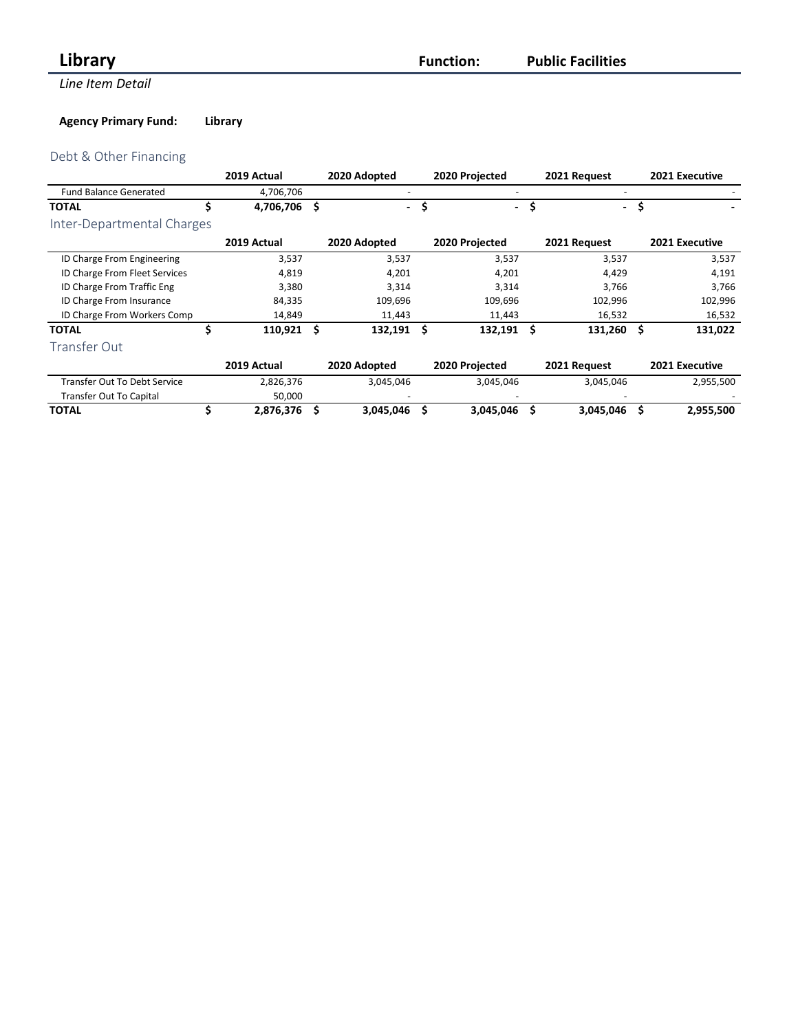## *Library Function:*

**Line Item Detail** 

**Public Facilities**

## **Agency Primary Fund: Library**

## Debt & Other Financing

|                                     | 2019 Actual |   | 2020 Adopted             |      | 2020 Projected           | 2021 Request             |     | 2021 Executive |
|-------------------------------------|-------------|---|--------------------------|------|--------------------------|--------------------------|-----|----------------|
| <b>Fund Balance Generated</b>       | 4,706,706   |   |                          |      |                          |                          |     |                |
| <b>TOTAL</b>                        | 4,706,706   | Ś | $\overline{\phantom{0}}$ | \$   | $\overline{\phantom{0}}$ | $\overline{\phantom{0}}$ | \$  |                |
| Inter-Departmental Charges          |             |   |                          |      |                          |                          |     |                |
|                                     | 2019 Actual |   | 2020 Adopted             |      | 2020 Projected           | 2021 Request             |     | 2021 Executive |
| ID Charge From Engineering          | 3,537       |   | 3,537                    |      | 3,537                    | 3,537                    |     | 3,537          |
| ID Charge From Fleet Services       | 4,819       |   | 4,201                    |      | 4,201                    | 4,429                    |     | 4,191          |
| ID Charge From Traffic Eng          | 3,380       |   | 3,314                    |      | 3,314                    | 3,766                    |     | 3,766          |
| ID Charge From Insurance            | 84,335      |   | 109,696                  |      | 109,696                  | 102,996                  |     | 102,996        |
| ID Charge From Workers Comp         | 14,849      |   | 11,443                   |      | 11,443                   | 16,532                   |     | 16,532         |
| <b>TOTAL</b>                        | 110,921     | Ś | 132,191                  | - \$ | 132,191                  | \$<br>131,260            | \$. | 131,022        |
| Transfer Out                        |             |   |                          |      |                          |                          |     |                |
|                                     | 2019 Actual |   | 2020 Adopted             |      | 2020 Projected           | 2021 Request             |     | 2021 Executive |
| <b>Transfer Out To Debt Service</b> | 2,826,376   |   | 3,045,046                |      | 3,045,046                | 3,045,046                |     | 2,955,500      |
| Transfer Out To Capital             | 50,000      |   |                          |      |                          |                          |     |                |
| <b>TOTAL</b>                        | 2,876,376   |   | 3,045,046                |      | 3,045,046                | 3,045,046                | \$  | 2,955,500      |